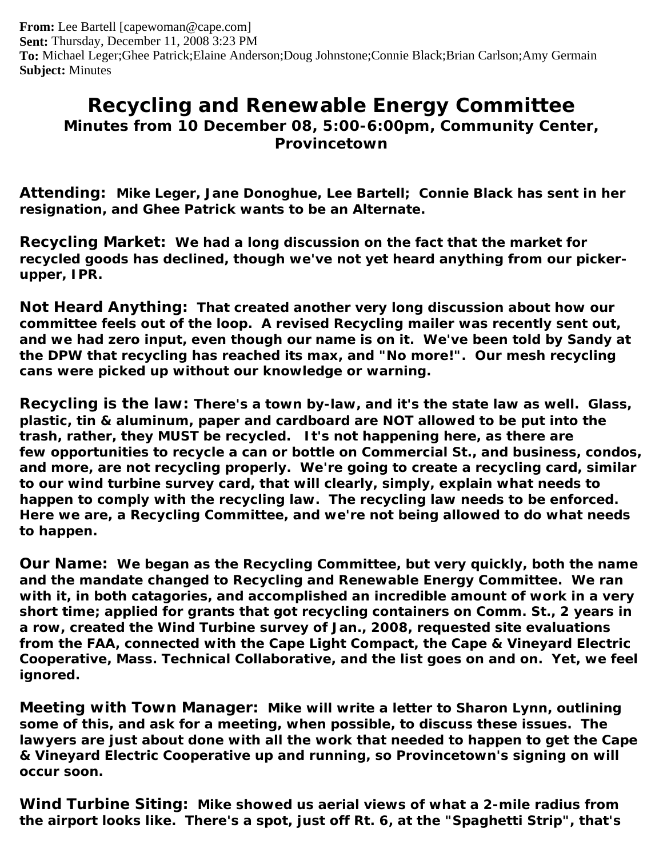**From:** Lee Bartell [capewoman@cape.com] **Sent:** Thursday, December 11, 2008 3:23 PM **To:** Michael Leger;Ghee Patrick;Elaine Anderson;Doug Johnstone;Connie Black;Brian Carlson;Amy Germain **Subject:** Minutes

## **Recycling and Renewable Energy Committee Minutes from 10 December 08, 5:00-6:00pm, Community Center, Provincetown**

**Attending: Mike Leger, Jane Donoghue, Lee Bartell; Connie Black has sent in her resignation, and Ghee Patrick wants to be an Alternate.**

**Recycling Market: We had a long discussion on the fact that the market for recycled goods has declined, though we've not yet heard anything from our pickerupper, IPR.**

**Not Heard Anything: That created another very long discussion about how our committee feels out of the loop. A revised Recycling mailer was recently sent out, and we had zero input, even though our name is on it. We've been told by Sandy at the DPW that recycling has reached its max, and "No more!". Our mesh recycling cans were picked up without our knowledge or warning.** 

**Recycling is the law: There's a town by-law, and it's the state law as well. Glass, plastic, tin & aluminum, paper and cardboard are NOT allowed to be put into the trash, rather, they MUST be recycled. It's not happening here, as there are few opportunities to recycle a can or bottle on Commercial St., and business, condos, and more, are not recycling properly. We're going to create a recycling card, similar to our wind turbine survey card, that will clearly, simply, explain what needs to happen to comply with the recycling law. The recycling law needs to be enforced. Here we are, a Recycling Committee, and we're not being allowed to do what needs to happen.**

**Our Name: We began as the Recycling Committee, but very quickly, both the name and the mandate changed to Recycling and Renewable Energy Committee. We ran with it, in both catagories, and accomplished an incredible amount of work in a very short time; applied for grants that got recycling containers on Comm. St., 2 years in a row, created the Wind Turbine survey of Jan., 2008, requested site evaluations from the FAA, connected with the Cape Light Compact, the Cape & Vineyard Electric Cooperative, Mass. Technical Collaborative, and the list goes on and on. Yet, we feel ignored.**

**Meeting with Town Manager: Mike will write a letter to Sharon Lynn, outlining some of this, and ask for a meeting, when possible, to discuss these issues. The lawyers are just about done with all the work that needed to happen to get the Cape & Vineyard Electric Cooperative up and running, so Provincetown's signing on will occur soon.**

**Wind Turbine Siting: Mike showed us aerial views of what a 2-mile radius from the airport looks like. There's a spot, just off Rt. 6, at the "Spaghetti Strip", that's**